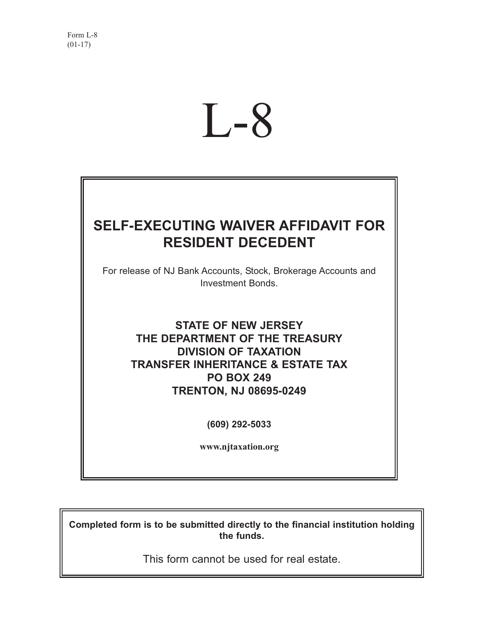# L-8

# **SELF-EXECUTING WAIVER AFFIDAVIT FOR RESIDENT DECEDENT**

For release of NJ Bank Accounts, Stock, Brokerage Accounts and Investment Bonds.

> **STATE OF NEW JERSEY THE DEPARTMENT OF THE TREASURY DIVISION OF TAXATION TRANSFER INHERITANCE & ESTATE TAX PO BOX 249 TRENTON, NJ 08695-0249**

> > **(609) 292-5033**

**www.njtaxation.org**

**Completed form is to be submitted directly to the financial institution holding the funds.**

This form cannot be used for real estate.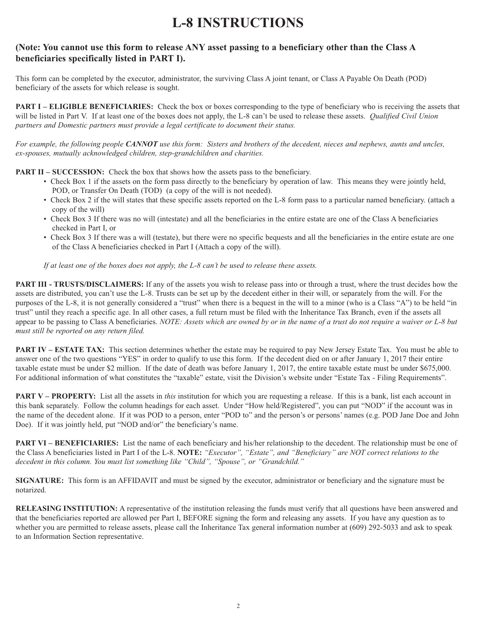# **L-8 INSTRUCTIONS**

# **(Note: You cannot use this form to release ANY asset passing to a beneficiary other than the Class A beneficiaries specifically listed in PART I).**

This form can be completed by the executor, administrator, the surviving Class A joint tenant, or Class A Payable On Death (POD) beneficiary of the assets for which release is sought.

**PART I – ELIGIBLE BENEFICIARIES:** Check the box or boxes corresponding to the type of beneficiary who is receiving the assets that will be listed in Part V. If at least one of the boxes does not apply, the L-8 can't be used to release these assets. *Qualified Civil Union partners and Domestic partners must provide a legal certificate to document their status.*

*For example, the following people CANNOT use this form: Sisters and brothers of the decedent, nieces and nephews, aunts and uncles, ex-spouses, mutually acknowledged children, step-grandchildren and charities.*

**PART II – SUCCESSION:** Check the box that shows how the assets pass to the beneficiary.

- Check Box 1 if the assets on the form pass directly to the beneficiary by operation of law. This means they were jointly held, POD, or Transfer On Death (TOD) (a copy of the will is not needed).
- Check Box 2 if the will states that these specific assets reported on the L-8 form pass to a particular named beneficiary. (attach a copy of the will)
- Check Box 3 If there was no will (intestate) and all the beneficiaries in the entire estate are one of the Class A beneficiaries checked in Part I, or
- Check Box 3 If there was a will (testate), but there were no specific bequests and all the beneficiaries in the entire estate are one of the Class A beneficiaries checked in Part I (Attach a copy of the will).

*If at least one of the boxes does not apply, the L-8 can't be used to release these assets.* 

**PART III - TRUSTS/DISCLAIMERS:** If any of the assets you wish to release pass into or through a trust, where the trust decides how the assets are distributed, you can't use the L-8. Trusts can be set up by the decedent either in their will, or separately from the will. For the purposes of the L-8, it is not generally considered a "trust" when there is a bequest in the will to a minor (who is a Class "A") to be held "in trust" until they reach a specific age. In all other cases, a full return must be filed with the Inheritance Tax Branch, even if the assets all appear to be passing to Class A beneficiaries. *NOTE: Assets which are owned by or in the name of a trust do not require a waiver or L-8 but must still be reported on any return filed.*

**PART IV – ESTATE TAX:** This section determines whether the estate may be required to pay New Jersey Estate Tax. You must be able to answer one of the two questions "YES" in order to qualify to use this form. If the decedent died on or after January 1, 2017 their entire taxable estate must be under \$2 million. If the date of death was before January 1, 2017, the entire taxable estate must be under \$675,000. For additional information of what constitutes the "taxable" estate, visit the Division's website under "Estate Tax - Filing Requirements".

**PART V – PROPERTY:** List all the assets in *this* institution for which you are requesting a release. If this is a bank, list each account in this bank separately. Follow the column headings for each asset. Under "How held/Registered", you can put "NOD" if the account was in the name of the decedent alone. If it was POD to a person, enter "POD to" and the person's or persons' names (e.g. POD Jane Doe and John Doe). If it was jointly held, put "NOD and/or" the beneficiary's name.

**PART VI – BENEFICIARIES:** List the name of each beneficiary and his/her relationship to the decedent. The relationship must be one of the Class A beneficiaries listed in Part I of the L-8. **NOTE:** *"Executor", "Estate", and "Beneficiary" are NOT correct relations to the decedent in this column. You must list something like "Child", "Spouse", or "Grandchild."*

**SIGNATURE:** This form is an AFFIDAVIT and must be signed by the executor, administrator or beneficiary and the signature must be notarized.

**RELEASING INSTITUTION:** A representative of the institution releasing the funds must verify that all questions have been answered and that the beneficiaries reported are allowed per Part I, BEFORE signing the form and releasing any assets. If you have any question as to whether you are permitted to release assets, please call the Inheritance Tax general information number at (609) 292-5033 and ask to speak to an Information Section representative.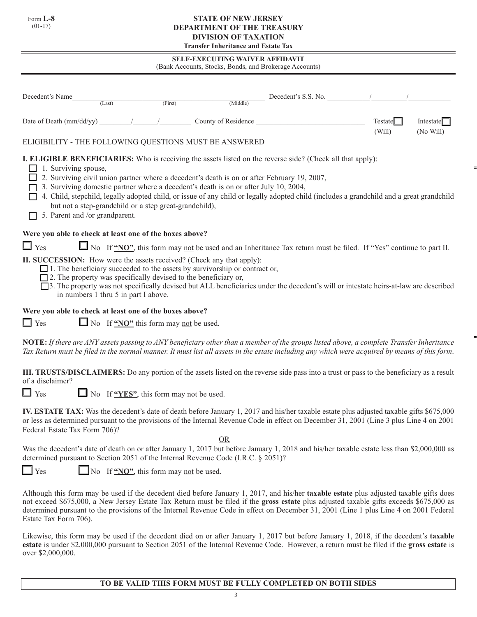Form **L-8** (01-17)

#### **STATE OF NEW JERSEY DEPARTMENT OF THE TREASURY DIVISION OF TAXATION Transfer Inheritance and Estate Tax**

**SELF-EXECUTING WAIVER AFFIDAVIT**

| (Bank Accounts, Stocks, Bonds, and Brokerage Accounts) |  |  |  |
|--------------------------------------------------------|--|--|--|
|                                                        |  |  |  |

| Decedent's Name                                                                                                                                        | (Last)                                                 | (First) | (Middle)                                                                                                                                                                            | Decedent's S.S. No.                                                                                                                                                                                                                                                                                                                                                                                                         |                   |                        |
|--------------------------------------------------------------------------------------------------------------------------------------------------------|--------------------------------------------------------|---------|-------------------------------------------------------------------------------------------------------------------------------------------------------------------------------------|-----------------------------------------------------------------------------------------------------------------------------------------------------------------------------------------------------------------------------------------------------------------------------------------------------------------------------------------------------------------------------------------------------------------------------|-------------------|------------------------|
| Date of Death (mm/dd/yy) _____                                                                                                                         |                                                        |         | County of Residence                                                                                                                                                                 |                                                                                                                                                                                                                                                                                                                                                                                                                             | Testate<br>(Will) | Intestate<br>(No Will) |
| ELIGIBILITY - THE FOLLOWING QUESTIONS MUST BE ANSWERED                                                                                                 |                                                        |         |                                                                                                                                                                                     |                                                                                                                                                                                                                                                                                                                                                                                                                             |                   |                        |
| 1. Surviving spouse,<br>5. Parent and /or grandparent.                                                                                                 | but not a step-grandchild or a step great-grandchild), |         | 2. Surviving civil union partner where a decedent's death is on or after February 19, 2007,<br>3. Surviving domestic partner where a decedent's death is on or after July 10, 2004, | <b>I. ELIGIBLE BENEFICIARIES:</b> Who is receiving the assets listed on the reverse side? (Check all that apply):<br>4. Child, stepchild, legally adopted child, or issue of any child or legally adopted child (includes a grandchild and a great grandchild                                                                                                                                                               |                   |                        |
| Were you able to check at least one of the boxes above?                                                                                                |                                                        |         |                                                                                                                                                                                     |                                                                                                                                                                                                                                                                                                                                                                                                                             |                   |                        |
| $\Box$ Yes                                                                                                                                             |                                                        |         |                                                                                                                                                                                     | No If "NO", this form may not be used and an Inheritance Tax return must be filed. If "Yes" continue to part II.                                                                                                                                                                                                                                                                                                            |                   |                        |
| <b>II. SUCCESSION:</b> How were the assets received? (Check any that apply):<br>$\Box$ 2. The property was specifically devised to the beneficiary or, | in numbers 1 thru 5 in part I above.                   |         | $\Box$ 1. The beneficiary succeeded to the assets by survivorship or contract or,                                                                                                   | □ 3. The property was not specifically devised but ALL beneficiaries under the decedent's will or intestate heirs-at-law are described                                                                                                                                                                                                                                                                                      |                   |                        |
| Were you able to check at least one of the boxes above?                                                                                                |                                                        |         |                                                                                                                                                                                     |                                                                                                                                                                                                                                                                                                                                                                                                                             |                   |                        |
| $\Box$ Yes                                                                                                                                             | $\Box$ No If "NO" this form may not be used.           |         |                                                                                                                                                                                     |                                                                                                                                                                                                                                                                                                                                                                                                                             |                   |                        |
|                                                                                                                                                        |                                                        |         |                                                                                                                                                                                     | NOTE: If there are ANY assets passing to ANY beneficiary other than a member of the groups listed above, a complete Transfer Inheritance<br>Tax Return must be filed in the normal manner. It must list all assets in the estate including any which were acquired by means of this form.                                                                                                                                   |                   |                        |
| of a disclaimer?                                                                                                                                       |                                                        |         |                                                                                                                                                                                     | <b>III. TRUSTS/DISCLAIMERS:</b> Do any portion of the assets listed on the reverse side pass into a trust or pass to the beneficiary as a result                                                                                                                                                                                                                                                                            |                   |                        |
| $\Box$ Yes                                                                                                                                             | $\Box$ No If "YES", this form may not be used.         |         |                                                                                                                                                                                     |                                                                                                                                                                                                                                                                                                                                                                                                                             |                   |                        |
| Federal Estate Tax Form 706)?                                                                                                                          |                                                        |         |                                                                                                                                                                                     | IV. ESTATE TAX: Was the decedent's date of death before January 1, 2017 and his/her taxable estate plus adjusted taxable gifts \$675,000<br>or less as determined pursuant to the provisions of the Internal Revenue Code in effect on December 31, 2001 (Line 3 plus Line 4 on 2001                                                                                                                                        |                   |                        |
| determined pursuant to Section 2051 of the Internal Revenue Code (I.R.C. § 2051)?                                                                      |                                                        |         | OR                                                                                                                                                                                  | Was the decedent's date of death on or after January 1, 2017 but before January 1, 2018 and his/her taxable estate less than \$2,000,000 as                                                                                                                                                                                                                                                                                 |                   |                        |
| $\Box$ Yes                                                                                                                                             | $\Box$ No If "NO", this form may not be used.          |         |                                                                                                                                                                                     |                                                                                                                                                                                                                                                                                                                                                                                                                             |                   |                        |
| Estate Tax Form 706).                                                                                                                                  |                                                        |         |                                                                                                                                                                                     | Although this form may be used if the decedent died before January 1, 2017, and his/her taxable estate plus adjusted taxable gifts does<br>not exceed \$675,000, a New Jersey Estate Tax Return must be filed if the gross estate plus adjusted taxable gifts exceeds \$675,000 as<br>determined pursuant to the provisions of the Internal Revenue Code in effect on December 31, 2001 (Line 1 plus Line 4 on 2001 Federal |                   |                        |

Likewise, this form may be used if the decedent died on or after January 1, 2017 but before January 1, 2018, if the decedent's **taxable estate** is under \$2,000,000 pursuant to Section 2051 of the Internal Revenue Code. However, a return must be filed if the **gross estate** is over \$2,000,000.

# **TO BE VALID THIS FORM MUST BE FULLY COMPLETED ON BOTH SIDES**